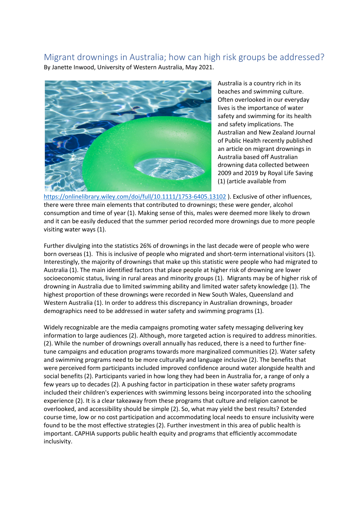## Migrant drownings in Australia; how can high risk groups be addressed? By Janette Inwood, University of Western Australia, May 2021.



Australia is a country rich in its beaches and swimming culture. Often overlooked in our everyday lives is the importance of water safety and swimming for its health and safety implications. The Australian and New Zealand Journal of Public Health recently published an article on migrant drownings in Australia based off Australian drowning data collected between 2009 and 2019 by Royal Life Saving (1) (article available from

<https://onlinelibrary.wiley.com/doi/full/10.1111/1753-6405.13102> ). Exclusive of other influences, there were three main elements that contributed to drownings; these were gender, alcohol consumption and time of year (1). Making sense of this, males were deemed more likely to drown and it can be easily deduced that the summer period recorded more drownings due to more people visiting water ways (1).

Further divulging into the statistics 26% of drownings in the last decade were of people who were born overseas (1). This is inclusive of people who migrated and short-term international visitors (1). Interestingly, the majority of drownings that make up this statistic were people who had migrated to Australia (1). The main identified factors that place people at higher risk of drowning are lower socioeconomic status, living in rural areas and minority groups (1). Migrants may be of higher risk of drowning in Australia due to limited swimming ability and limited water safety knowledge (1). The highest proportion of these drownings were recorded in New South Wales, Queensland and Western Australia (1). In order to address this discrepancy in Australian drownings, broader demographics need to be addressed in water safety and swimming programs (1).

Widely recognizable are the media campaigns promoting water safety messaging delivering key information to large audiences (2). Although, more targeted action is required to address minorities. (2). While the number of drownings overall annually has reduced, there is a need to further finetune campaigns and education programs towards more marginalized communities (2). Water safety and swimming programs need to be more culturally and language inclusive (2). The benefits that were perceived form participants included improved confidence around water alongside health and social benefits (2). Participants varied in how long they had been in Australia for, a range of only a few years up to decades (2). A pushing factor in participation in these water safety programs included their children's experiences with swimming lessons being incorporated into the schooling experience (2). It is a clear takeaway from these programs that culture and religion cannot be overlooked, and accessibility should be simple (2). So, what may yield the best results? Extended course time, low or no cost participation and accommodating local needs to ensure inclusivity were found to be the most effective strategies (2). Further investment in this area of public health is important. CAPHIA supports public health equity and programs that efficiently accommodate inclusivity.